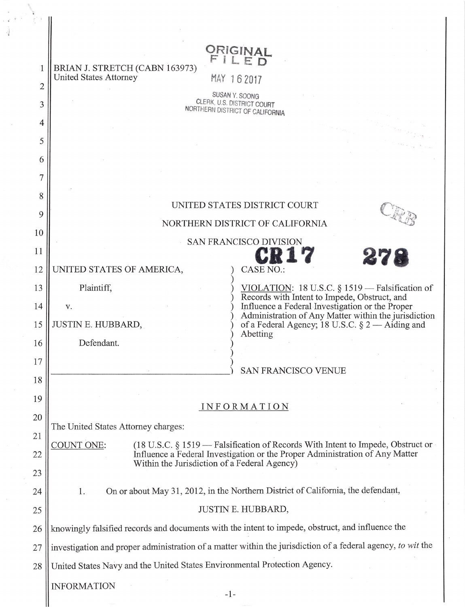|                | ORIGINAL                                                                                                                                                                                         |
|----------------|--------------------------------------------------------------------------------------------------------------------------------------------------------------------------------------------------|
|                | FILED<br>BRIAN J. STRETCH (CABN 163973)                                                                                                                                                          |
| $\overline{2}$ | <b>United States Attorney</b><br>MAY 162017                                                                                                                                                      |
| 3              | SUSAN Y. SOONG<br>CLERK, U.S. DISTRICT COURT                                                                                                                                                     |
| 4              | NORTHERN DISTRICT OF CALIFORNIA                                                                                                                                                                  |
| 5              |                                                                                                                                                                                                  |
| 6              |                                                                                                                                                                                                  |
| 7              |                                                                                                                                                                                                  |
|                |                                                                                                                                                                                                  |
| 8              | UNITED STATES DISTRICT COURT                                                                                                                                                                     |
| 9              | NORTHERN DISTRICT OF CALIFORNIA                                                                                                                                                                  |
| 10             | SAN FRANCISCO DIVISION                                                                                                                                                                           |
| 11             | 278                                                                                                                                                                                              |
| 12             | UNITED STATES OF AMERICA,<br><b>CASE NO.:</b>                                                                                                                                                    |
| 13             | Plaintiff,<br>VIOLATION: 18 U.S.C. § 1519 - Falsification of<br>Records with Intent to Impede, Obstruct, and                                                                                     |
| 14             | Influence a Federal Investigation or the Proper<br>V.<br>Administration of Any Matter within the jurisdiction                                                                                    |
| 15             | JUSTIN E. HUBBARD,<br>of a Federal Agency; 18 U.S.C. $\S 2 -$ Aiding and<br>Abetting                                                                                                             |
| 16             | Defendant.                                                                                                                                                                                       |
| 17             | <b>SAN FRANCISCO VENUE</b>                                                                                                                                                                       |
| 18             |                                                                                                                                                                                                  |
| 19             |                                                                                                                                                                                                  |
| 20             | <b>INFORMATION</b>                                                                                                                                                                               |
| 21             | The United States Attorney charges:                                                                                                                                                              |
| 22             | <b>COUNT ONE:</b><br>$(18 \text{ U.S.C. } \S 1519$ - Falsification of Records With Intent to Impede, Obstruct or<br>Influence a Federal Investigation or the Proper Administration of Any Matter |
| 23             | Within the Jurisdiction of a Federal Agency)                                                                                                                                                     |
| 24             | On or about May 31, 2012, in the Northern District of California, the defendant,<br>1.                                                                                                           |
| 25             | JUSTIN E. HUBBARD,                                                                                                                                                                               |
| 26             | knowingly falsified records and documents with the intent to impede, obstruct, and influence the                                                                                                 |
| 27             | investigation and proper administration of a matter within the jurisdiction of a federal agency, to wit the                                                                                      |
|                | United States Navy and the United States Environmental Protection Agency.                                                                                                                        |
| 28             |                                                                                                                                                                                                  |
|                | <b>INFORMATION</b>                                                                                                                                                                               |

II